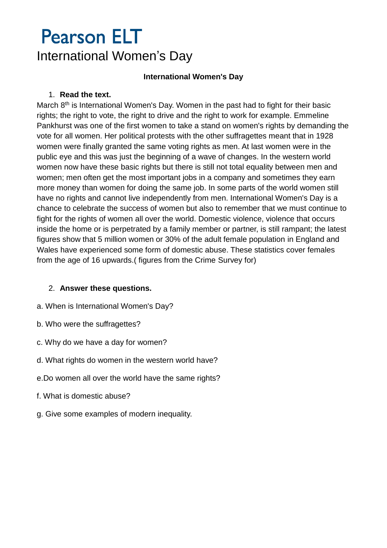### **International Women's Day**

### 1. **Read the text.**

March  $8<sup>th</sup>$  is International Women's Day. Women in the past had to fight for their basic rights; the right to vote, the right to drive and the right to work for example. Emmeline Pankhurst was one of the first women to take a stand on women's rights by demanding the vote for all women. Her political protests with the other suffragettes meant that in 1928 women were finally granted the same voting rights as men. At last women were in the public eye and this was just the beginning of a wave of changes. In the western world women now have these basic rights but there is still not total equality between men and women; men often get the most important jobs in a company and sometimes they earn more money than women for doing the same job. In some parts of the world women still have no rights and cannot live independently from men. International Women's Day is a chance to celebrate the success of women but also to remember that we must continue to fight for the rights of women all over the world. Domestic violence, violence that occurs inside the home or is perpetrated by a family member or partner, is still rampant; the latest figures show that 5 million women or 30% of the adult female population in England and Wales have experienced some form of domestic abuse. These statistics cover females from the age of 16 upwards.( figures from the Crime Survey for)

### 2. **Answer these questions.**

- a. When is International Women's Day?
- b. Who were the suffragettes?
- c. Why do we have a day for women?
- d. What rights do women in the western world have?
- e.Do women all over the world have the same rights?
- f. What is domestic abuse?
- g. Give some examples of modern inequality.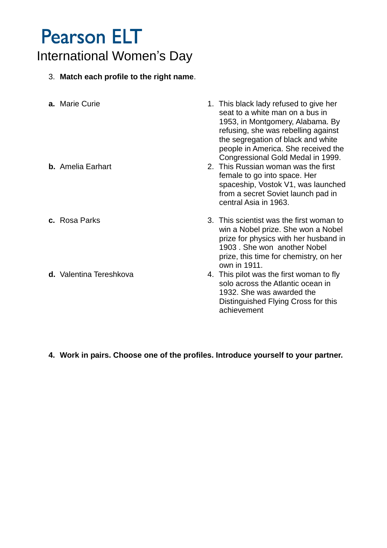# 3. **Match each profile to the right name**.

| a. Marie Curie<br><b>b.</b> Amelia Earhart | 1. This black lady refused to give her<br>seat to a white man on a bus in<br>1953, in Montgomery, Alabama. By<br>refusing, she was rebelling against<br>the segregation of black and white<br>people in America. She received the<br>Congressional Gold Medal in 1999.<br>2. This Russian woman was the first<br>female to go into space. Her<br>spaceship, Vostok V1, was launched<br>from a secret Soviet launch pad in<br>central Asia in 1963. |
|--------------------------------------------|----------------------------------------------------------------------------------------------------------------------------------------------------------------------------------------------------------------------------------------------------------------------------------------------------------------------------------------------------------------------------------------------------------------------------------------------------|
| c. Rosa Parks                              | 3. This scientist was the first woman to<br>win a Nobel prize. She won a Nobel<br>prize for physics with her husband in<br>1903. She won another Nobel<br>prize, this time for chemistry, on her<br>own in 1911.                                                                                                                                                                                                                                   |
| d. Valentina Tereshkova                    | 4. This pilot was the first woman to fly<br>solo across the Atlantic ocean in<br>1932. She was awarded the<br>Distinguished Flying Cross for this<br>achievement                                                                                                                                                                                                                                                                                   |

## **4. Work in pairs. Choose one of the profiles. Introduce yourself to your partner.**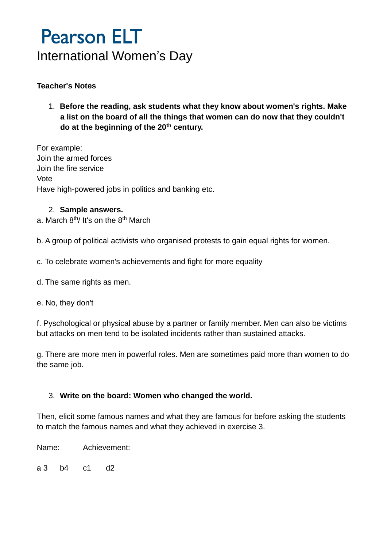## **Teacher's Notes**

1. **Before the reading, ask students what they know about women's rights. Make a list on the board of all the things that women can do now that they couldn't do at the beginning of the 20th century.**

For example: Join the armed forces Join the fire service Vote Have high-powered jobs in politics and banking etc.

### 2. **Sample answers.**

a. March 8th/ It's on the 8th March

b. A group of political activists who organised protests to gain equal rights for women.

- c. To celebrate women's achievements and fight for more equality
- d. The same rights as men.
- e. No, they don't

f. Pyschological or physical abuse by a partner or family member. Men can also be victims but attacks on men tend to be isolated incidents rather than sustained attacks.

g. There are more men in powerful roles. Men are sometimes paid more than women to do the same job.

### 3. **Write on the board: Women who changed the world.**

Then, elicit some famous names and what they are famous for before asking the students to match the famous names and what they achieved in exercise 3.

Name: Achievement:

a 3 b4 c1 d2